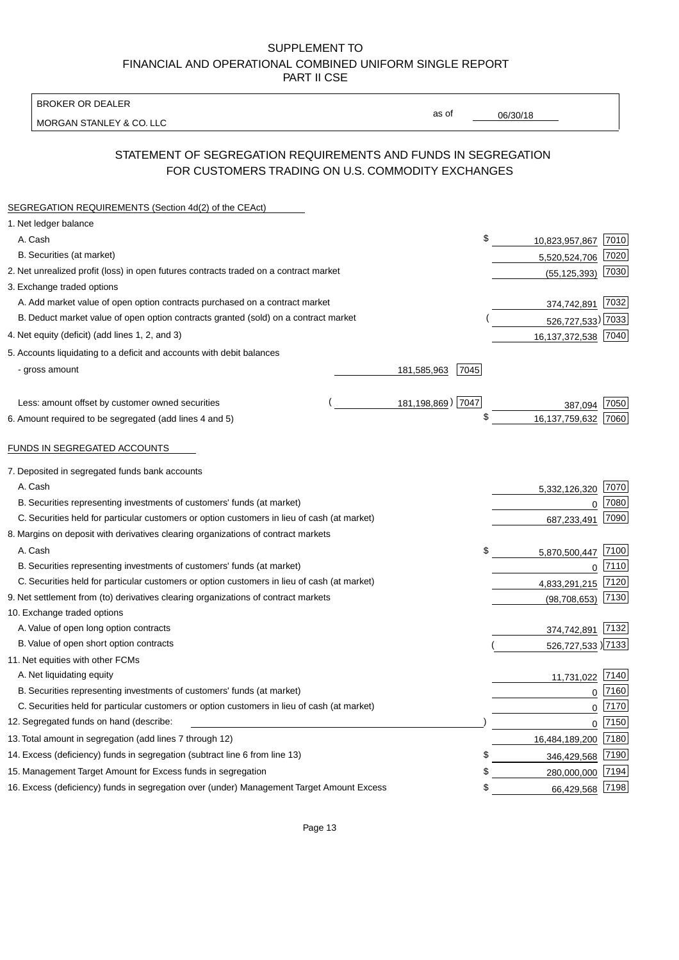BROKER OR DEALER

MORGAN STANLEY & CO. LLC

06/30/18

as of

# STATEMENT OF SEGREGATION REQUIREMENTS AND FUNDS IN SEGREGATION FOR CUSTOMERS TRADING ON U.S. COMMODITY EXCHANGES

| SEGREGATION REQUIREMENTS (Section 4d(2) of the CEAct)                                       |                     |                     |          |
|---------------------------------------------------------------------------------------------|---------------------|---------------------|----------|
| 1. Net ledger balance                                                                       |                     |                     |          |
| A. Cash                                                                                     | \$                  | 10,823,957,867      | 7010     |
| B. Securities (at market)                                                                   |                     | 5,520,524,706       | 7020     |
| 2. Net unrealized profit (loss) in open futures contracts traded on a contract market       |                     | (55, 125, 393)      | 7030     |
| 3. Exchange traded options                                                                  |                     |                     |          |
| A. Add market value of open option contracts purchased on a contract market                 |                     | 374,742,891         | 7032     |
| B. Deduct market value of open option contracts granted (sold) on a contract market         |                     | 526,727,533) 7033   |          |
| 4. Net equity (deficit) (add lines 1, 2, and 3)                                             |                     | 16,137,372,538      | 7040     |
| 5. Accounts liquidating to a deficit and accounts with debit balances                       |                     |                     |          |
| - gross amount                                                                              | 181,585,963<br>7045 |                     |          |
|                                                                                             |                     |                     |          |
| Less: amount offset by customer owned securities                                            | 181,198,869) 7047   | 387,094             | 7050     |
| 6. Amount required to be segregated (add lines 4 and 5)                                     | \$                  | 16,137,759,632      | 7060     |
|                                                                                             |                     |                     |          |
| FUNDS IN SEGREGATED ACCOUNTS                                                                |                     |                     |          |
| 7. Deposited in segregated funds bank accounts                                              |                     |                     |          |
| A. Cash                                                                                     |                     | 5,332,126,320       | 7070     |
| B. Securities representing investments of customers' funds (at market)                      |                     | 0                   | 7080     |
| C. Securities held for particular customers or option customers in lieu of cash (at market) |                     | 687,233,491         | 7090     |
| 8. Margins on deposit with derivatives clearing organizations of contract markets           |                     |                     |          |
| A. Cash                                                                                     | \$                  | 5,870,500,447       | 7100     |
| B. Securities representing investments of customers' funds (at market)                      |                     | $\mathbf 0$         | 7110     |
| C. Securities held for particular customers or option customers in lieu of cash (at market) |                     | 4,833,291,215       | 7120     |
| 9. Net settlement from (to) derivatives clearing organizations of contract markets          |                     | (98, 708, 653)      | 7130     |
| 10. Exchange traded options                                                                 |                     |                     |          |
| A. Value of open long option contracts                                                      |                     | 374,742,891         | 7132     |
| B. Value of open short option contracts                                                     |                     | 526,727,533 ) 7133  |          |
| 11. Net equities with other FCMs                                                            |                     |                     |          |
| A. Net liquidating equity                                                                   |                     | 11,731,022          | 7140     |
| B. Securities representing investments of customers' funds (at market)                      |                     | $\mathbf 0$         | 7160     |
| C. Securities held for particular customers or option customers in lieu of cash (at market) |                     | $\mathbf 0$         | 7170     |
| 12. Segregated funds on hand (describe:                                                     |                     |                     | $0$ 7150 |
| 13. Total amount in segregation (add lines 7 through 12)                                    |                     | 16,484,189,200 7180 |          |
| 14. Excess (deficiency) funds in segregation (subtract line 6 from line 13)                 | S                   | 346,429,568         | 7190     |
| 15. Management Target Amount for Excess funds in segregation                                | \$                  | 280,000,000         | 7194     |
| 16. Excess (deficiency) funds in segregation over (under) Management Target Amount Excess   | \$                  | 66,429,568          | 7198     |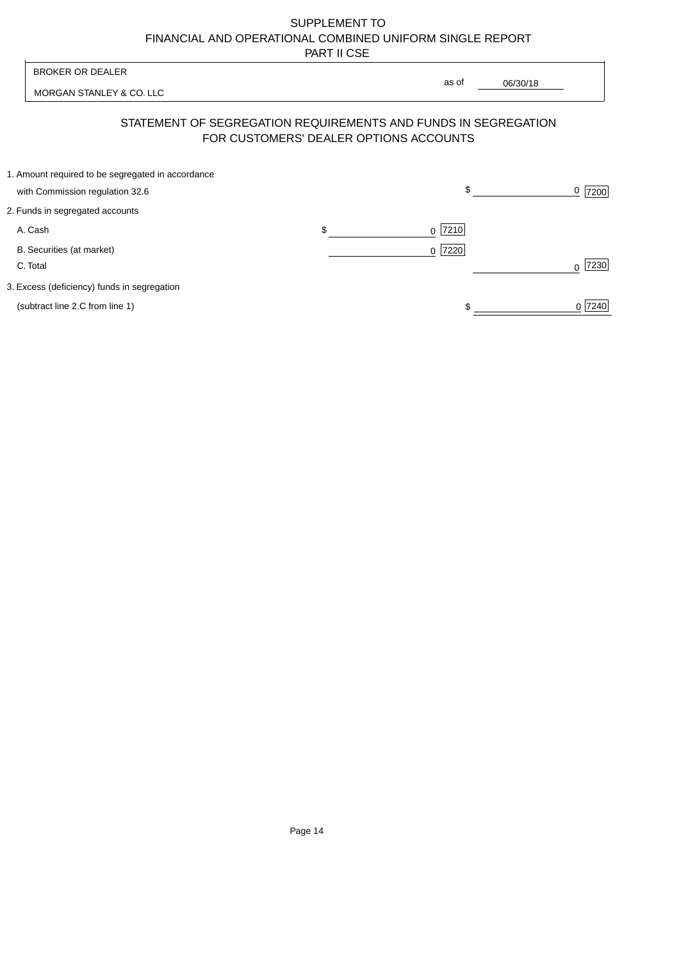| <b>BROKER OR DEALER</b>                                                                                  |                | as of |          |           |
|----------------------------------------------------------------------------------------------------------|----------------|-------|----------|-----------|
| MORGAN STANLEY & CO. LLC                                                                                 |                |       | 06/30/18 |           |
| STATEMENT OF SEGREGATION REQUIREMENTS AND FUNDS IN SEGREGATION<br>FOR CUSTOMERS' DEALER OPTIONS ACCOUNTS |                |       |          |           |
| 1. Amount required to be segregated in accordance<br>with Commission regulation 32.6                     |                | \$    |          | 7200      |
| 2. Funds in segregated accounts                                                                          |                |       |          |           |
| A. Cash                                                                                                  | \$<br>$\Omega$ | 7210  |          |           |
| B. Securities (at market)<br>C. Total                                                                    | $\Omega$       | 7220  |          | 7230<br>∩ |
| 3. Excess (deficiency) funds in segregation                                                              |                |       |          |           |
| (subtract line 2.C from line 1)                                                                          |                |       |          | 0 7240    |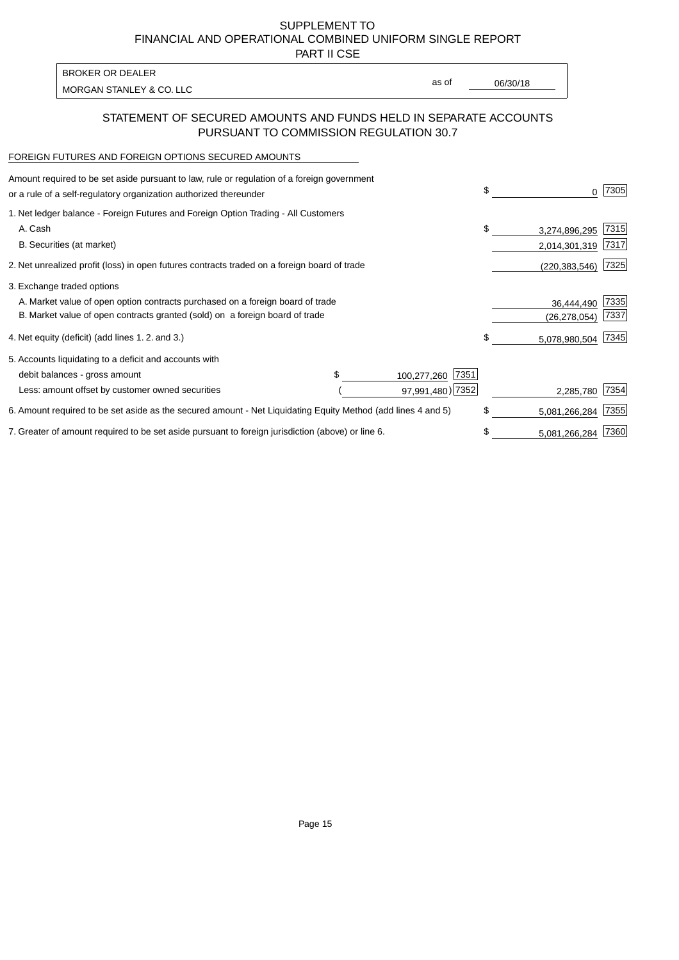PART II CSE

| <b>BROKER OR DEALER</b>  |       |          |
|--------------------------|-------|----------|
|                          | as of | 06/30/18 |
| MORGAN STANLEY & CO. LLC |       |          |

## STATEMENT OF SECURED AMOUNTS AND FUNDS HELD IN SEPARATE ACCOUNTS PURSUANT TO COMMISSION REGULATION 30.7

#### FOREIGN FUTURES AND FOREIGN OPTIONS SECURED AMOUNTS

| Amount required to be set aside pursuant to law, rule or regulation of a foreign government<br>or a rule of a self-regulatory organization authorized thereunder |                     | \$<br>0             | 7305 |
|------------------------------------------------------------------------------------------------------------------------------------------------------------------|---------------------|---------------------|------|
| 1. Net ledger balance - Foreign Futures and Foreign Option Trading - All Customers                                                                               |                     |                     |      |
| A. Cash                                                                                                                                                          |                     | \$<br>3,274,896,295 | 7315 |
| B. Securities (at market)                                                                                                                                        |                     | 2,014,301,319       | 7317 |
| 2. Net unrealized profit (loss) in open futures contracts traded on a foreign board of trade                                                                     |                     | (220, 383, 546)     | 7325 |
| 3. Exchange traded options                                                                                                                                       |                     |                     |      |
| A. Market value of open option contracts purchased on a foreign board of trade                                                                                   |                     | 36,444,490          | 7335 |
| B. Market value of open contracts granted (sold) on a foreign board of trade                                                                                     |                     | (26, 278, 054)      | 7337 |
| 4. Net equity (deficit) (add lines 1.2. and 3.)                                                                                                                  |                     | \$<br>5,078,980,504 | 7345 |
| 5. Accounts liquidating to a deficit and accounts with                                                                                                           |                     |                     |      |
| debit balances - gross amount                                                                                                                                    | 7351<br>100,277,260 |                     |      |
| Less: amount offset by customer owned securities                                                                                                                 | 97,991,480) 7352    | 2,285,780           | 7354 |
| 6. Amount required to be set aside as the secured amount - Net Liquidating Equity Method (add lines 4 and 5)                                                     |                     | \$<br>5,081,266,284 | 7355 |
| 7. Greater of amount required to be set aside pursuant to foreign jurisdiction (above) or line 6.                                                                |                     | \$<br>5,081,266,284 | 7360 |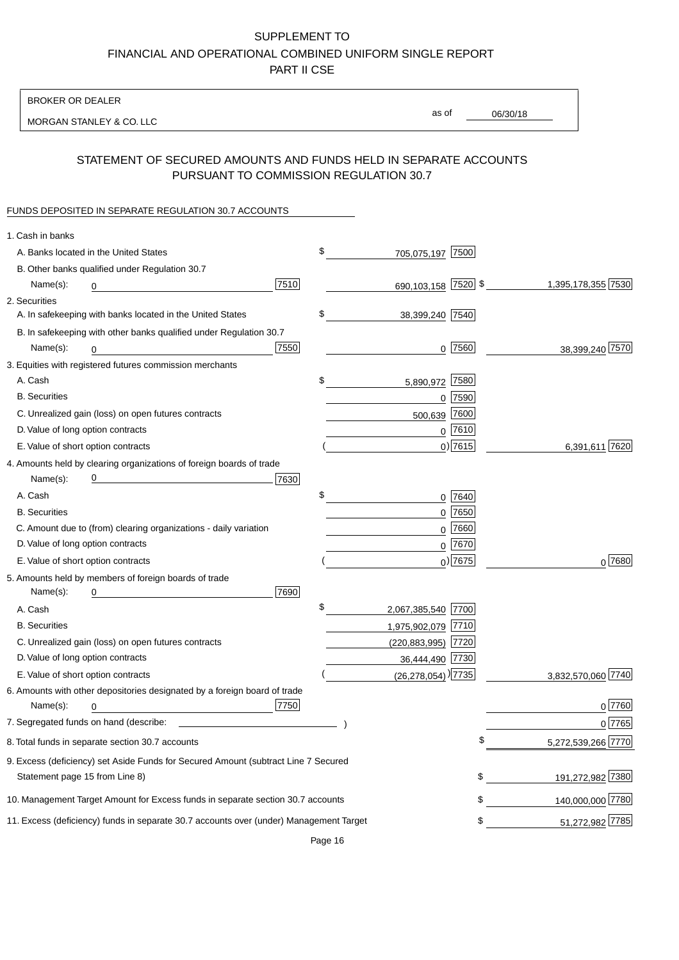BROKER OR DEALER

MORGAN STANLEY & CO. LLC

06/30/18 as of

## STATEMENT OF SECURED AMOUNTS AND FUNDS HELD IN SEPARATE ACCOUNTS PURSUANT TO COMMISSION REGULATION 30.7

### FUNDS DEPOSITED IN SEPARATE REGULATION 30.7 ACCOUNTS

| 1. Cash in banks                   |                                                                                        |      |                                      |             |                    |
|------------------------------------|----------------------------------------------------------------------------------------|------|--------------------------------------|-------------|--------------------|
|                                    | A. Banks located in the United States                                                  |      | \$<br>705,075,197                    | 7500        |                    |
|                                    | B. Other banks qualified under Regulation 30.7                                         |      |                                      |             |                    |
| Name(s):                           | 0<br><u>and the state of the state of the state</u>                                    | 7510 | 690,103,158 7520 \$                  |             | 1,395,178,355 7530 |
| 2. Securities                      |                                                                                        |      |                                      |             |                    |
|                                    | A. In safekeeping with banks located in the United States                              |      | \$<br>38,399,240 7540                |             |                    |
|                                    | B. In safekeeping with other banks qualified under Regulation 30.7                     |      |                                      |             |                    |
| Name(s):                           | 0                                                                                      | 7550 |                                      | $0$ 7560    | 38,399,240 7570    |
|                                    | 3. Equities with registered futures commission merchants                               |      |                                      |             |                    |
| A. Cash                            |                                                                                        |      | \$<br>5,890,972                      | 7580        |                    |
| <b>B.</b> Securities               |                                                                                        |      |                                      | $0$ 7590    |                    |
|                                    | C. Unrealized gain (loss) on open futures contracts                                    |      | 500,639                              | 7600        |                    |
| D. Value of long option contracts  |                                                                                        |      |                                      | $0$ 7610    |                    |
| E. Value of short option contracts |                                                                                        |      |                                      | $0)$ 7615   | 6,391,611 7620     |
|                                    | 4. Amounts held by clearing organizations of foreign boards of trade                   |      |                                      |             |                    |
| Name(s):                           |                                                                                        | 7630 |                                      |             |                    |
| A. Cash                            |                                                                                        |      | \$                                   | $0$ 7640    |                    |
| <b>B.</b> Securities               |                                                                                        |      |                                      | $0$ 7650    |                    |
|                                    | C. Amount due to (from) clearing organizations - daily variation                       |      | 0                                    | 7660        |                    |
| D. Value of long option contracts  |                                                                                        |      |                                      | 0 7670      |                    |
| E. Value of short option contracts |                                                                                        |      |                                      | $_0$ ) 7675 | 0 7680             |
|                                    | 5. Amounts held by members of foreign boards of trade                                  |      |                                      |             |                    |
| Name(s):                           | 0                                                                                      | 7690 |                                      |             |                    |
| A. Cash                            |                                                                                        |      | \$<br>2,067,385,540 7700             |             |                    |
| <b>B.</b> Securities               |                                                                                        |      | 1,975,902,079 7710                   |             |                    |
|                                    | C. Unrealized gain (loss) on open futures contracts                                    |      | (220,883,995) 7720                   |             |                    |
| D. Value of long option contracts  |                                                                                        |      | 36,444,490 7730                      |             |                    |
| E. Value of short option contracts |                                                                                        |      | $(26, 278, 054)$ <sup>)</sup> $7735$ |             | 3,832,570,060 7740 |
|                                    | 6. Amounts with other depositories designated by a foreign board of trade              |      |                                      |             |                    |
| Name(s):                           | 0                                                                                      | 7750 |                                      |             | 0 7760             |
|                                    | 7. Segregated funds on hand (describe: _                                               |      |                                      |             | 0 7765             |
|                                    | 8. Total funds in separate section 30.7 accounts                                       |      |                                      | \$          | 5,272,539,266 7770 |
|                                    | 9. Excess (deficiency) set Aside Funds for Secured Amount (subtract Line 7 Secured     |      |                                      |             |                    |
| Statement page 15 from Line 8)     |                                                                                        |      |                                      | \$          | 191,272,982 7380   |
|                                    | 10. Management Target Amount for Excess funds in separate section 30.7 accounts        |      |                                      | \$          | 140,000,000 7780   |
|                                    | 11. Excess (deficiency) funds in separate 30.7 accounts over (under) Management Target |      |                                      | \$          | 51,272,982 7785    |